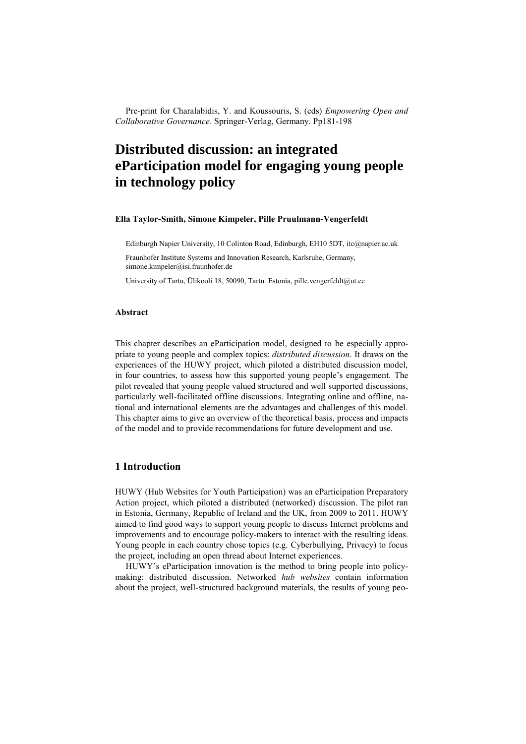Pre-print for Charalabidis, Y. and Koussouris, S. (eds) *Empowering Open and Collaborative Governance*. Springer-Verlag, Germany. Pp181-198

# **Distributed discussion: an integrated eParticipation model for engaging young people in technology policy**

#### **Ella Taylor-Smith, Simone Kimpeler, Pille Pruulmann-Vengerfeldt**

Edinburgh Napier University, 10 Colinton Road, Edinburgh, EH10 5DT, itc@napier.ac.uk

Fraunhofer Institute Systems and Innovation Research, Karlsruhe, Germany, simone.kimpeler@isi.fraunhofer.de

University of Tartu, Ülikooli 18, 50090, Tartu. Estonia, pille.vengerfeldt@ut.ee

#### **Abstract**

This chapter describes an eParticipation model, designed to be especially appropriate to young people and complex topics: *distributed discussion*. It draws on the experiences of the HUWY project, which piloted a distributed discussion model, in four countries, to assess how this supported young people's engagement. The pilot revealed that young people valued structured and well supported discussions, particularly well-facilitated offline discussions. Integrating online and offline, national and international elements are the advantages and challenges of this model. This chapter aims to give an overview of the theoretical basis, process and impacts of the model and to provide recommendations for future development and use.

# **1 Introduction**

HUWY (Hub Websites for Youth Participation) was an eParticipation Preparatory Action project, which piloted a distributed (networked) discussion. The pilot ran in Estonia, Germany, Republic of Ireland and the UK, from 2009 to 2011. HUWY aimed to find good ways to support young people to discuss Internet problems and improvements and to encourage policy-makers to interact with the resulting ideas. Young people in each country chose topics (e.g. Cyberbullying, Privacy) to focus the project, including an open thread about Internet experiences.

HUWY's eParticipation innovation is the method to bring people into policymaking: distributed discussion. Networked *hub websites* contain information about the project, well-structured background materials, the results of young peo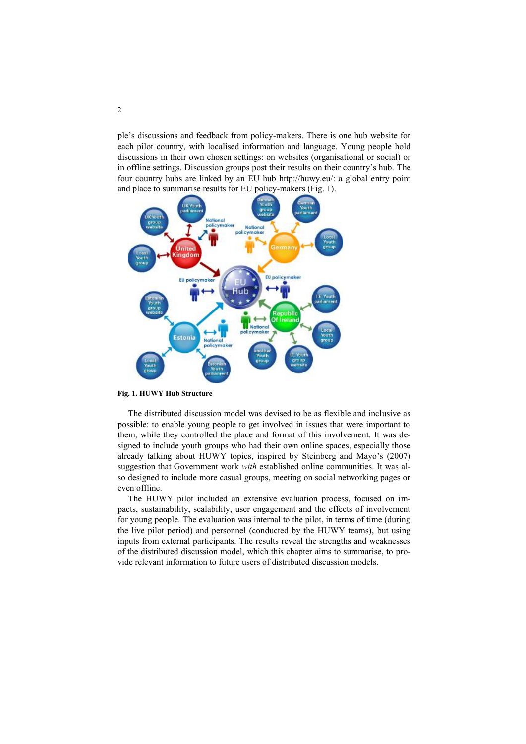ple's discussions and feedback from policy-makers. There is one hub website for each pilot country, with localised information and language. Young people hold discussions in their own chosen settings: on websites (organisational or social) or in offline settings. Discussion groups post their results on their country's hub. The four country hubs are linked by an EU hub http://huwy.eu/: a global entry point and place to summarise results for EU policy-makers (Fig. 1).



**Fig. 1. HUWY Hub Structure**

The distributed discussion model was devised to be as flexible and inclusive as possible: to enable young people to get involved in issues that were important to them, while they controlled the place and format of this involvement. It was designed to include youth groups who had their own online spaces, especially those already talking about HUWY topics, inspired by Steinberg and Mayo's (2007) suggestion that Government work *with* established online communities. It was also designed to include more casual groups, meeting on social networking pages or even offline.

The HUWY pilot included an extensive evaluation process, focused on impacts, sustainability, scalability, user engagement and the effects of involvement for young people. The evaluation was internal to the pilot, in terms of time (during the live pilot period) and personnel (conducted by the HUWY teams), but using inputs from external participants. The results reveal the strengths and weaknesses of the distributed discussion model, which this chapter aims to summarise, to provide relevant information to future users of distributed discussion models.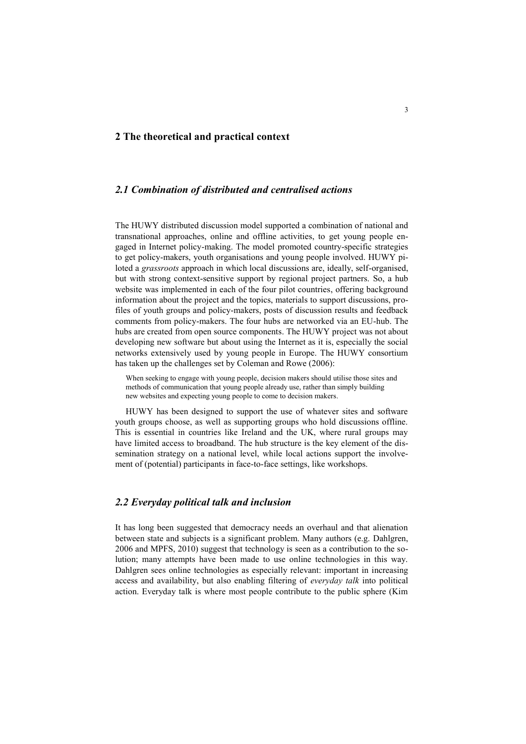# **2 The theoretical and practical context**

# *2.1 Combination of distributed and centralised actions*

The HUWY distributed discussion model supported a combination of national and transnational approaches, online and offline activities, to get young people engaged in Internet policy-making. The model promoted country-specific strategies to get policy-makers, youth organisations and young people involved. HUWY piloted a *grassroots* approach in which local discussions are, ideally, self-organised, but with strong context-sensitive support by regional project partners. So, a hub website was implemented in each of the four pilot countries, offering background information about the project and the topics, materials to support discussions, profiles of youth groups and policy-makers, posts of discussion results and feedback comments from policy-makers. The four hubs are networked via an EU-hub. The hubs are created from open source components. The HUWY project was not about developing new software but about using the Internet as it is, especially the social networks extensively used by young people in Europe. The HUWY consortium has taken up the challenges set by Coleman and Rowe (2006):

When seeking to engage with young people, decision makers should utilise those sites and methods of communication that young people already use, rather than simply building new websites and expecting young people to come to decision makers.

HUWY has been designed to support the use of whatever sites and software youth groups choose, as well as supporting groups who hold discussions offline. This is essential in countries like Ireland and the UK, where rural groups may have limited access to broadband. The hub structure is the key element of the dissemination strategy on a national level, while local actions support the involvement of (potential) participants in face-to-face settings, like workshops.

# *2.2 Everyday political talk and inclusion*

It has long been suggested that democracy needs an overhaul and that alienation between state and subjects is a significant problem. Many authors (e.g. Dahlgren, 2006 and MPFS, 2010) suggest that technology is seen as a contribution to the solution; many attempts have been made to use online technologies in this way. Dahlgren sees online technologies as especially relevant: important in increasing access and availability, but also enabling filtering of *everyday talk* into political action. Everyday talk is where most people contribute to the public sphere (Kim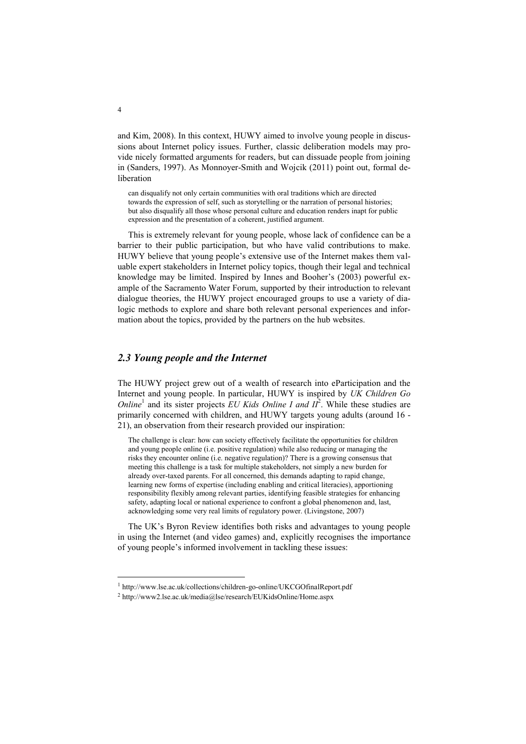and Kim, 2008). In this context, HUWY aimed to involve young people in discussions about Internet policy issues. Further, classic deliberation models may provide nicely formatted arguments for readers, but can dissuade people from joining in (Sanders, 1997). As Monnoyer-Smith and Wojcik (2011) point out, formal deliberation

can disqualify not only certain communities with oral traditions which are directed towards the expression of self, such as storytelling or the narration of personal histories; but also disqualify all those whose personal culture and education renders inapt for public expression and the presentation of a coherent, justified argument.

This is extremely relevant for young people, whose lack of confidence can be a barrier to their public participation, but who have valid contributions to make. HUWY believe that young people's extensive use of the Internet makes them valuable expert stakeholders in Internet policy topics, though their legal and technical knowledge may be limited. Inspired by Innes and Booher's (2003) powerful example of the Sacramento Water Forum, supported by their introduction to relevant dialogue theories, the HUWY project encouraged groups to use a variety of dialogic methods to explore and share both relevant personal experiences and information about the topics, provided by the partners on the hub websites.

# *2.3 Young people and the Internet*

The HUWY project grew out of a wealth of research into eParticipation and the Internet and young people. In particular, HUWY is inspired by *UK Children Go Online*<sup>1</sup> and its sister projects *EU Kids Online I and*  $II^2$ . While these studies are primarily concerned with children, and HUWY targets young adults (around 16 - 21), an observation from their research provided our inspiration:

The challenge is clear: how can society effectively facilitate the opportunities for children and young people online (i.e. positive regulation) while also reducing or managing the risks they encounter online (i.e. negative regulation)? There is a growing consensus that meeting this challenge is a task for multiple stakeholders, not simply a new burden for already over-taxed parents. For all concerned, this demands adapting to rapid change, learning new forms of expertise (including enabling and critical literacies), apportioning responsibility flexibly among relevant parties, identifying feasible strategies for enhancing safety, adapting local or national experience to confront a global phenomenon and, last, acknowledging some very real limits of regulatory power. (Livingstone, 2007)

The UK's Byron Review identifies both risks and advantages to young people in using the Internet (and video games) and, explicitly recognises the importance of young people's informed involvement in tackling these issues:

-

<sup>1</sup> http://www.lse.ac.uk/collections/children-go-online/UKCGOfinalReport.pdf

<sup>2</sup> http://www2.lse.ac.uk/media@lse/research/EUKidsOnline/Home.aspx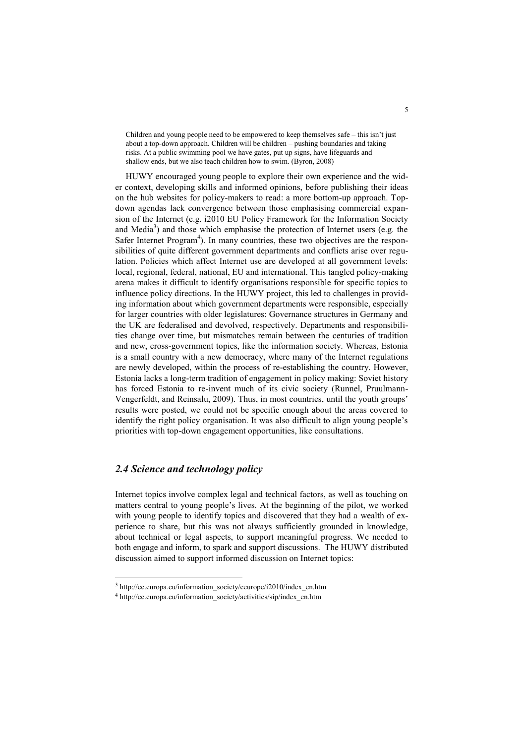Children and young people need to be empowered to keep themselves safe – this isn't just about a top-down approach. Children will be children – pushing boundaries and taking risks. At a public swimming pool we have gates, put up signs, have lifeguards and shallow ends, but we also teach children how to swim. (Byron, 2008)

HUWY encouraged young people to explore their own experience and the wider context, developing skills and informed opinions, before publishing their ideas on the hub websites for policy-makers to read: a more bottom-up approach. Topdown agendas lack convergence between those emphasising commercial expansion of the Internet (e.g. i2010 EU Policy Framework for the Information Society and Media<sup>3</sup>) and those which emphasise the protection of Internet users (e.g. the Safer Internet Program<sup>4</sup>). In many countries, these two objectives are the responsibilities of quite different government departments and conflicts arise over regulation. Policies which affect Internet use are developed at all government levels: local, regional, federal, national, EU and international. This tangled policy-making arena makes it difficult to identify organisations responsible for specific topics to influence policy directions. In the HUWY project, this led to challenges in providing information about which government departments were responsible, especially for larger countries with older legislatures: Governance structures in Germany and the UK are federalised and devolved, respectively. Departments and responsibilities change over time, but mismatches remain between the centuries of tradition and new, cross-government topics, like the information society. Whereas, Estonia is a small country with a new democracy, where many of the Internet regulations are newly developed, within the process of re-establishing the country. However, Estonia lacks a long-term tradition of engagement in policy making: Soviet history has forced Estonia to re-invent much of its civic society (Runnel, Pruulmann-Vengerfeldt, and Reinsalu, 2009). Thus, in most countries, until the youth groups' results were posted, we could not be specific enough about the areas covered to identify the right policy organisation. It was also difficult to align young people's priorities with top-down engagement opportunities, like consultations.

# *2.4 Science and technology policy*

-

Internet topics involve complex legal and technical factors, as well as touching on matters central to young people's lives. At the beginning of the pilot, we worked with young people to identify topics and discovered that they had a wealth of experience to share, but this was not always sufficiently grounded in knowledge, about technical or legal aspects, to support meaningful progress. We needed to both engage and inform, to spark and support discussions. The HUWY distributed discussion aimed to support informed discussion on Internet topics:

<sup>&</sup>lt;sup>3</sup> http://ec.europa.eu/information\_society/eeurope/i2010/index\_en.htm

<sup>4</sup> http://ec.europa.eu/information\_society/activities/sip/index\_en.htm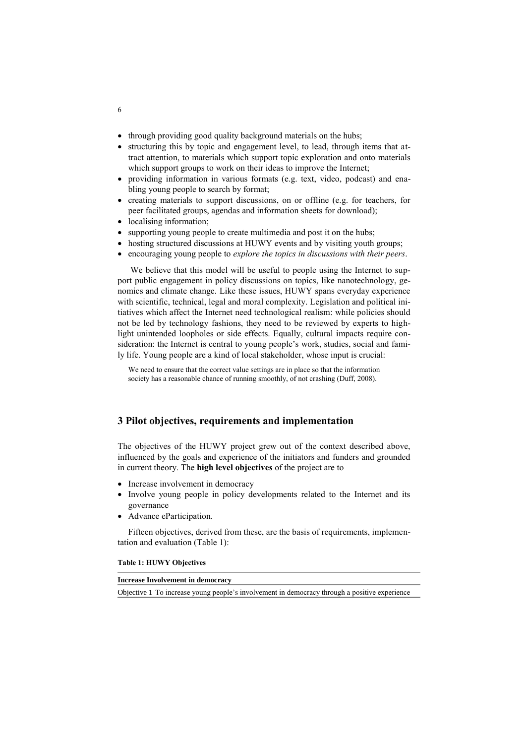- through providing good quality background materials on the hubs;
- structuring this by topic and engagement level, to lead, through items that attract attention, to materials which support topic exploration and onto materials which support groups to work on their ideas to improve the Internet;
- providing information in various formats (e.g. text, video, podcast) and enabling young people to search by format;
- creating materials to support discussions, on or offline (e.g. for teachers, for peer facilitated groups, agendas and information sheets for download);
- localising information;
- supporting young people to create multimedia and post it on the hubs;
- hosting structured discussions at HUWY events and by visiting youth groups;
- encouraging young people to *explore the topics in discussions with their peers*.

We believe that this model will be useful to people using the Internet to support public engagement in policy discussions on topics, like nanotechnology, genomics and climate change. Like these issues, HUWY spans everyday experience with scientific, technical, legal and moral complexity. Legislation and political initiatives which affect the Internet need technological realism: while policies should not be led by technology fashions, they need to be reviewed by experts to highlight unintended loopholes or side effects. Equally, cultural impacts require consideration: the Internet is central to young people's work, studies, social and family life. Young people are a kind of local stakeholder, whose input is crucial:

We need to ensure that the correct value settings are in place so that the information society has a reasonable chance of running smoothly, of not crashing (Duff, 2008).

# **3 Pilot objectives, requirements and implementation**

The objectives of the HUWY project grew out of the context described above, influenced by the goals and experience of the initiators and funders and grounded in current theory. The **high level objectives** of the project are to

- Increase involvement in democracy
- Involve young people in policy developments related to the Internet and its governance
- Advance eParticipation.

Fifteen objectives, derived from these, are the basis of requirements, implementation and evaluation (Table 1):

#### **Table 1: HUWY Objectives**

| <b>Increase Involvement in democracy</b>                                                      |  |  |  |  |
|-----------------------------------------------------------------------------------------------|--|--|--|--|
| Objective 1 To increase young people's involvement in democracy through a positive experience |  |  |  |  |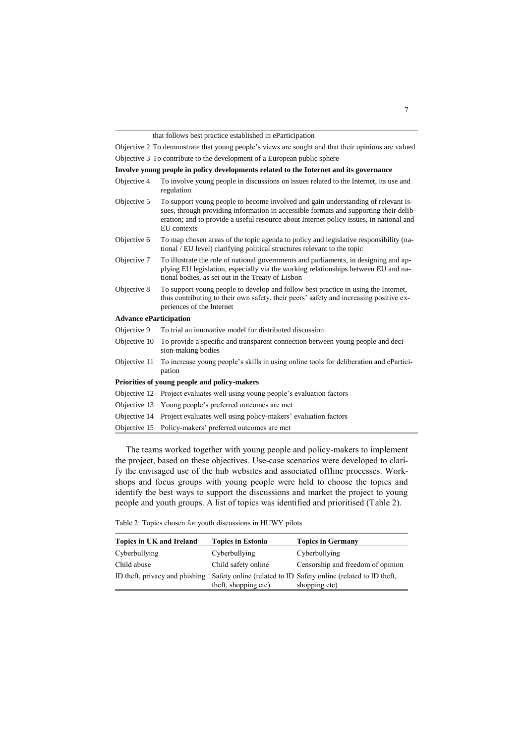that follows best practice established in eParticipation

Objective 2 To demonstrate that young people's views are sought and that their opinions are valued Objective 3 To contribute to the development of a European public sphere

| Involve young people in policy developments related to the Internet and its governance |
|----------------------------------------------------------------------------------------|
|----------------------------------------------------------------------------------------|

Objective 4 To involve young people in discussions on issues related to the Internet, its use and regulation Objective 5 To support young people to become involved and gain understanding of relevant issues, through providing information in accessible formats and supporting their deliberation; and to provide a useful resource about Internet policy issues, in national and EU contexts Objective 6 To map chosen areas of the topic agenda to policy and legislative responsibility (national / EU level) clarifying political structures relevant to the topic Objective 7 To illustrate the role of national governments and parliaments, in designing and applying EU legislation, especially via the working relationships between EU and national bodies, as set out in the Treaty of Lisbon Objective 8 To support young people to develop and follow best practice in using the Internet, thus contributing to their own safety, their peers' safety and increasing positive experiences of the Internet **Advance eParticipation** Objective 9 To trial an innovative model for distributed discussion Objective 10 To provide a specific and transparent connection between young people and decision-making bodies Objective 11 To increase young people's skills in using online tools for deliberation and eParticipation **Priorities of young people and policy-makers** Objective 12 Project evaluates well using young people's evaluation factors Objective 13 Young people's preferred outcomes are met Objective 14 Project evaluates well using policy-makers' evaluation factors

Objective 15 Policy-makers' preferred outcomes are met

The teams worked together with young people and policy-makers to implement the project, based on these objectives. Use-case scenarios were developed to clarify the envisaged use of the hub websites and associated offline processes. Workshops and focus groups with young people were held to choose the topics and identify the best ways to support the discussions and market the project to young people and youth groups. A list of topics was identified and prioritised (Table 2).

Table 2: Topics chosen for youth discussions in HUWY pilots

| Topics in UK and Ireland       | <b>Topics in Estonia</b> | <b>Topics in Germany</b>                                                          |
|--------------------------------|--------------------------|-----------------------------------------------------------------------------------|
| Cyberbullying                  | Cyberbullying            | Cyberbullying                                                                     |
| Child abuse                    | Child safety online      | Censorship and freedom of opinion                                                 |
| ID theft, privacy and phishing | theft, shopping etc)     | Safety online (related to ID Safety online (related to ID theft,<br>shopping etc) |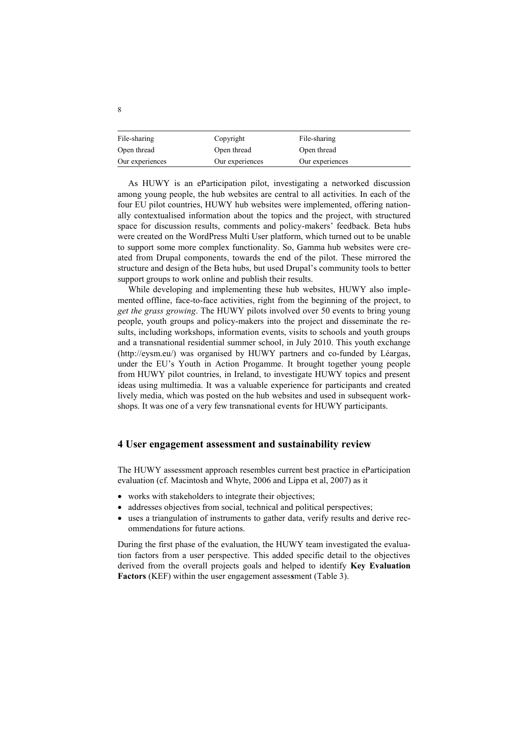| File-sharing    | Copyright       | File-sharing    |
|-----------------|-----------------|-----------------|
| Open thread     | Open thread     | Open thread     |
| Our experiences | Our experiences | Our experiences |

As HUWY is an eParticipation pilot, investigating a networked discussion among young people, the hub websites are central to all activities. In each of the four EU pilot countries, HUWY hub websites were implemented, offering nationally contextualised information about the topics and the project, with structured space for discussion results, comments and policy-makers' feedback. Beta hubs were created on the WordPress Multi User platform, which turned out to be unable to support some more complex functionality. So, Gamma hub websites were created from Drupal components, towards the end of the pilot. These mirrored the structure and design of the Beta hubs, but used Drupal's community tools to better support groups to work online and publish their results.

While developing and implementing these hub websites, HUWY also implemented offline, face-to-face activities, right from the beginning of the project, to *get the grass growing*. The HUWY pilots involved over 50 events to bring young people, youth groups and policy-makers into the project and disseminate the results, including workshops, information events, visits to schools and youth groups and a transnational residential summer school, in July 2010. This youth exchange (http://eysm.eu/) was organised by HUWY partners and co-funded by Léargas, under the EU's Youth in Action Progamme. It brought together young people from HUWY pilot countries, in Ireland, to investigate HUWY topics and present ideas using multimedia. It was a valuable experience for participants and created lively media, which was posted on the hub websites and used in subsequent workshops. It was one of a very few transnational events for HUWY participants.

### **4 User engagement assessment and sustainability review**

The HUWY assessment approach resembles current best practice in eParticipation evaluation (cf. Macintosh and Whyte, 2006 and Lippa et al, 2007) as it

- works with stakeholders to integrate their objectives;
- addresses objectives from social, technical and political perspectives;
- uses a triangulation of instruments to gather data, verify results and derive recommendations for future actions.

During the first phase of the evaluation, the HUWY team investigated the evaluation factors from a user perspective. This added specific detail to the objectives derived from the overall projects goals and helped to identify **Key Evaluation Factors** (KEF) within the user engagement asses**s**ment (Table 3).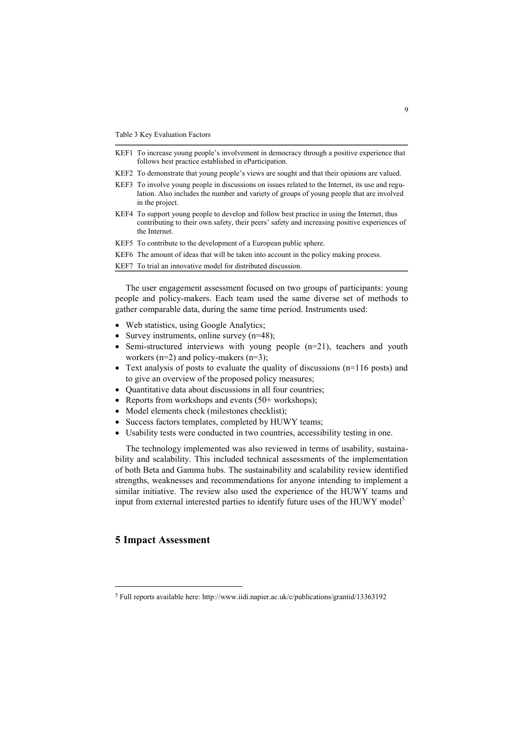- KEF1 To increase young people's involvement in democracy through a positive experience that follows best practice established in eParticipation.
- KEF2 To demonstrate that young people's views are sought and that their opinions are valued.
- KEF3 To involve young people in discussions on issues related to the Internet, its use and regulation. Also includes the number and variety of groups of young people that are involved in the project.
- KEF4 To support young people to develop and follow best practice in using the Internet, thus contributing to their own safety, their peers' safety and increasing positive experiences of the Internet.
- KEF5 To contribute to the development of a European public sphere.
- KEF6 The amount of ideas that will be taken into account in the policy making process.

KEF7 To trial an innovative model for distributed discussion.

The user engagement assessment focused on two groups of participants: young people and policy-makers. Each team used the same diverse set of methods to gather comparable data, during the same time period. Instruments used:

- Web statistics, using Google Analytics;
- Survey instruments, online survey  $(n=48)$ ;
- Semi-structured interviews with young people (n=21), teachers and youth workers  $(n=2)$  and policy-makers  $(n=3)$ ;
- Text analysis of posts to evaluate the quality of discussions (n=116 posts) and to give an overview of the proposed policy measures;
- Quantitative data about discussions in all four countries;
- Reports from workshops and events (50+ workshops);
- Model elements check (milestones checklist);
- Success factors templates, completed by HUWY teams;
- Usability tests were conducted in two countries, accessibility testing in one.

The technology implemented was also reviewed in terms of usability, sustainability and scalability. This included technical assessments of the implementation of both Beta and Gamma hubs. The sustainability and scalability review identified strengths, weaknesses and recommendations for anyone intending to implement a similar initiative. The review also used the experience of the HUWY teams and input from external interested parties to identify future uses of the HUWY model<sup>5.</sup>

# **5 Impact Assessment**

-

<sup>5</sup> Full reports available here: http://www.iidi.napier.ac.uk/c/publications/grantid/13363192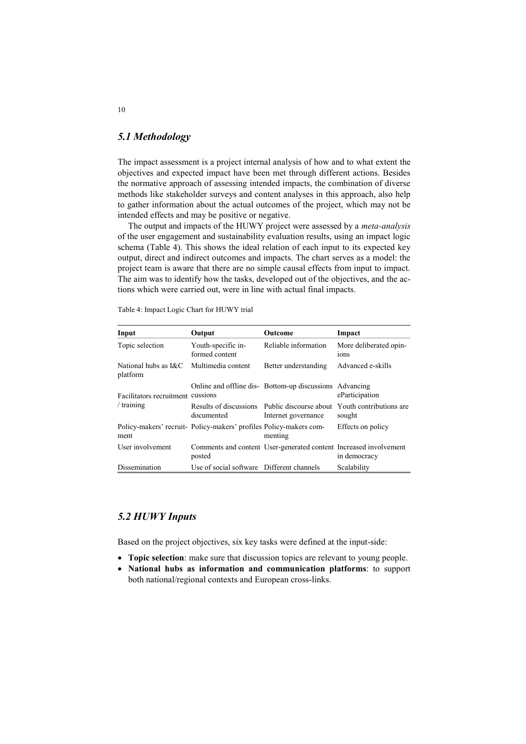# *5.1 Methodology*

The impact assessment is a project internal analysis of how and to what extent the objectives and expected impact have been met through different actions. Besides the normative approach of assessing intended impacts, the combination of diverse methods like stakeholder surveys and content analyses in this approach, also help to gather information about the actual outcomes of the project, which may not be intended effects and may be positive or negative.

The output and impacts of the HUWY project were assessed by a *meta-analysis* of the user engagement and sustainability evaluation results, using an impact logic schema (Table 4). This shows the ideal relation of each input to its expected key output, direct and indirect outcomes and impacts. The chart serves as a model: the project team is aware that there are no simple causal effects from input to impact. The aim was to identify how the tasks, developed out of the objectives, and the actions which were carried out, were in line with actual final impacts.

Table 4: Impact Logic Chart for HUWY trial

| Input                              | Output                                                             | <b>Outcome</b>                                                       | Impact                                     |
|------------------------------------|--------------------------------------------------------------------|----------------------------------------------------------------------|--------------------------------------------|
| Topic selection                    | Youth-specific in-<br>formed content                               | Reliable information                                                 | More deliberated opin-<br>10 <sub>ns</sub> |
| National hubs as $RCC$<br>platform | Multimedia content                                                 | Better understanding                                                 | Advanced e-skills                          |
| Facilitators recruitment           | cussions                                                           | Online and offline dis-Bottom-up discussions Advancing               | eParticipation                             |
| $/$ training                       | documented                                                         | Results of discussions Public discourse about<br>Internet governance | Youth contributions are<br>sought          |
| ment                               | Policy-makers' recruit- Policy-makers' profiles Policy-makers com- | menting                                                              | Effects on policy                          |
| User involvement                   | posted                                                             | Comments and content User-generated content Increased involvement    | in democracy                               |
| Dissemination                      | Use of social software Different channels                          |                                                                      | Scalability                                |

# *5.2 HUWY Inputs*

Based on the project objectives, six key tasks were defined at the input-side:

- **Topic selection**: make sure that discussion topics are relevant to young people.
- **National hubs as information and communication platforms**: to support both national/regional contexts and European cross-links.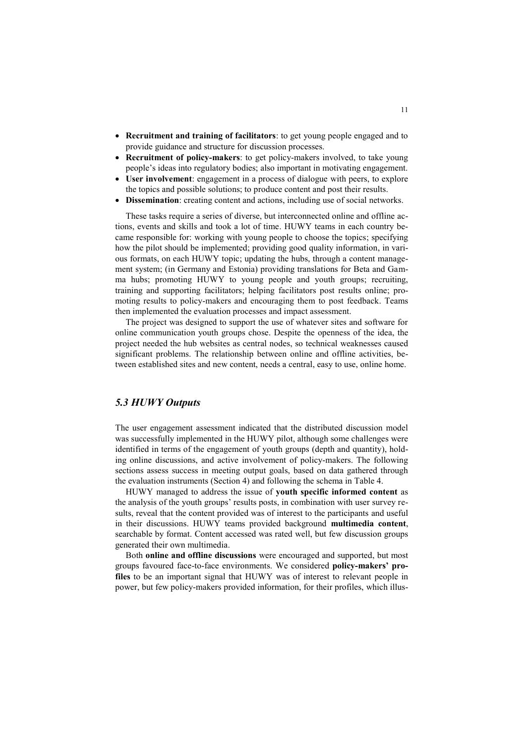- **Recruitment and training of facilitators**: to get young people engaged and to provide guidance and structure for discussion processes.
- **Recruitment of policy-makers**: to get policy-makers involved, to take young people's ideas into regulatory bodies; also important in motivating engagement.
- **User involvement**: engagement in a process of dialogue with peers, to explore the topics and possible solutions; to produce content and post their results.
- **Dissemination**: creating content and actions, including use of social networks.

These tasks require a series of diverse, but interconnected online and offline actions, events and skills and took a lot of time. HUWY teams in each country became responsible for: working with young people to choose the topics; specifying how the pilot should be implemented; providing good quality information, in various formats, on each HUWY topic; updating the hubs, through a content management system; (in Germany and Estonia) providing translations for Beta and Gamma hubs; promoting HUWY to young people and youth groups; recruiting, training and supporting facilitators; helping facilitators post results online; promoting results to policy-makers and encouraging them to post feedback. Teams then implemented the evaluation processes and impact assessment.

The project was designed to support the use of whatever sites and software for online communication youth groups chose. Despite the openness of the idea, the project needed the hub websites as central nodes, so technical weaknesses caused significant problems. The relationship between online and offline activities, between established sites and new content, needs a central, easy to use, online home.

# *5.3 HUWY Outputs*

The user engagement assessment indicated that the distributed discussion model was successfully implemented in the HUWY pilot, although some challenges were identified in terms of the engagement of youth groups (depth and quantity), holding online discussions, and active involvement of policy-makers. The following sections assess success in meeting output goals, based on data gathered through the evaluation instruments (Section 4) and following the schema in Table 4.

HUWY managed to address the issue of **youth specific informed content** as the analysis of the youth groups' results posts, in combination with user survey results, reveal that the content provided was of interest to the participants and useful in their discussions. HUWY teams provided background **multimedia content**, searchable by format. Content accessed was rated well, but few discussion groups generated their own multimedia.

Both **online and offline discussions** were encouraged and supported, but most groups favoured face-to-face environments. We considered **policy-makers' profiles** to be an important signal that HUWY was of interest to relevant people in power, but few policy-makers provided information, for their profiles, which illus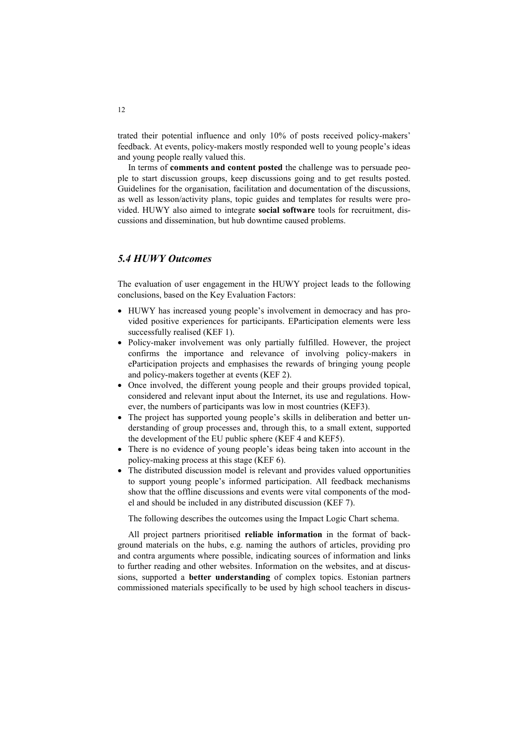trated their potential influence and only 10% of posts received policy-makers' feedback. At events, policy-makers mostly responded well to young people's ideas and young people really valued this.

In terms of **comments and content posted** the challenge was to persuade people to start discussion groups, keep discussions going and to get results posted. Guidelines for the organisation, facilitation and documentation of the discussions, as well as lesson/activity plans, topic guides and templates for results were provided. HUWY also aimed to integrate **social software** tools for recruitment, discussions and dissemination, but hub downtime caused problems.

# *5.4 HUWY Outcomes*

The evaluation of user engagement in the HUWY project leads to the following conclusions, based on the Key Evaluation Factors:

- HUWY has increased young people's involvement in democracy and has provided positive experiences for participants. EParticipation elements were less successfully realised (KEF 1).
- Policy-maker involvement was only partially fulfilled. However, the project confirms the importance and relevance of involving policy-makers in eParticipation projects and emphasises the rewards of bringing young people and policy-makers together at events (KEF 2).
- Once involved, the different young people and their groups provided topical, considered and relevant input about the Internet, its use and regulations. However, the numbers of participants was low in most countries (KEF3).
- The project has supported young people's skills in deliberation and better understanding of group processes and, through this, to a small extent, supported the development of the EU public sphere (KEF 4 and KEF5).
- There is no evidence of young people's ideas being taken into account in the policy-making process at this stage (KEF 6).
- The distributed discussion model is relevant and provides valued opportunities to support young people's informed participation. All feedback mechanisms show that the offline discussions and events were vital components of the model and should be included in any distributed discussion (KEF 7).

The following describes the outcomes using the Impact Logic Chart schema.

All project partners prioritised **reliable information** in the format of background materials on the hubs, e.g. naming the authors of articles, providing pro and contra arguments where possible, indicating sources of information and links to further reading and other websites. Information on the websites, and at discussions, supported a **better understanding** of complex topics. Estonian partners commissioned materials specifically to be used by high school teachers in discus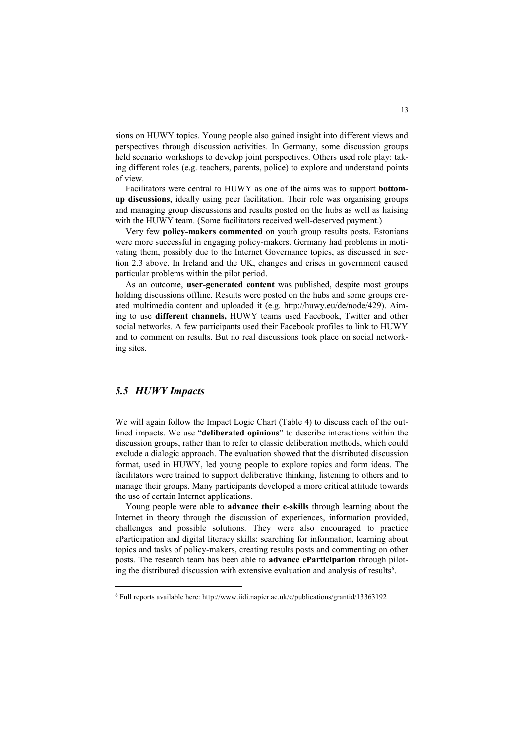sions on HUWY topics. Young people also gained insight into different views and perspectives through discussion activities. In Germany, some discussion groups held scenario workshops to develop joint perspectives. Others used role play: taking different roles (e.g. teachers, parents, police) to explore and understand points of view.

Facilitators were central to HUWY as one of the aims was to support **bottomup discussions**, ideally using peer facilitation. Their role was organising groups and managing group discussions and results posted on the hubs as well as liaising with the HUWY team. (Some facilitators received well-deserved payment.)

Very few **policy-makers commented** on youth group results posts. Estonians were more successful in engaging policy-makers. Germany had problems in motivating them, possibly due to the Internet Governance topics, as discussed in section 2.3 above. In Ireland and the UK, changes and crises in government caused particular problems within the pilot period.

As an outcome, **user-generated content** was published, despite most groups holding discussions offline. Results were posted on the hubs and some groups created multimedia content and uploaded it (e.g. http://huwy.eu/de/node/429). Aiming to use **different channels,** HUWY teams used Facebook, Twitter and other social networks. A few participants used their Facebook profiles to link to HUWY and to comment on results. But no real discussions took place on social networking sites.

# *5.5 HUWY Impacts*

-

We will again follow the Impact Logic Chart (Table 4) to discuss each of the outlined impacts. We use "**deliberated opinions**" to describe interactions within the discussion groups, rather than to refer to classic deliberation methods, which could exclude a dialogic approach. The evaluation showed that the distributed discussion format, used in HUWY, led young people to explore topics and form ideas. The facilitators were trained to support deliberative thinking, listening to others and to manage their groups. Many participants developed a more critical attitude towards the use of certain Internet applications.

Young people were able to **advance their e-skills** through learning about the Internet in theory through the discussion of experiences, information provided, challenges and possible solutions. They were also encouraged to practice eParticipation and digital literacy skills: searching for information, learning about topics and tasks of policy-makers, creating results posts and commenting on other posts. The research team has been able to **advance eParticipation** through piloting the distributed discussion with extensive evaluation and analysis of results<sup>6</sup>.

<sup>6</sup> Full reports available here: http://www.iidi.napier.ac.uk/c/publications/grantid/13363192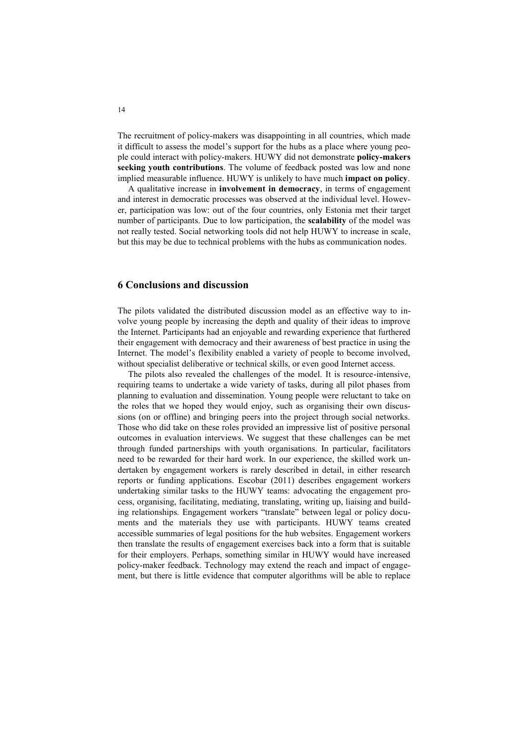The recruitment of policy-makers was disappointing in all countries, which made it difficult to assess the model's support for the hubs as a place where young people could interact with policy-makers. HUWY did not demonstrate **policy-makers seeking youth contributions**. The volume of feedback posted was low and none implied measurable influence. HUWY is unlikely to have much **impact on policy**.

A qualitative increase in **involvement in democracy**, in terms of engagement and interest in democratic processes was observed at the individual level. However, participation was low: out of the four countries, only Estonia met their target number of participants. Due to low participation, the **scalability** of the model was not really tested. Social networking tools did not help HUWY to increase in scale, but this may be due to technical problems with the hubs as communication nodes.

# **6 Conclusions and discussion**

The pilots validated the distributed discussion model as an effective way to involve young people by increasing the depth and quality of their ideas to improve the Internet. Participants had an enjoyable and rewarding experience that furthered their engagement with democracy and their awareness of best practice in using the Internet. The model's flexibility enabled a variety of people to become involved, without specialist deliberative or technical skills, or even good Internet access.

The pilots also revealed the challenges of the model. It is resource-intensive, requiring teams to undertake a wide variety of tasks, during all pilot phases from planning to evaluation and dissemination. Young people were reluctant to take on the roles that we hoped they would enjoy, such as organising their own discussions (on or offline) and bringing peers into the project through social networks. Those who did take on these roles provided an impressive list of positive personal outcomes in evaluation interviews. We suggest that these challenges can be met through funded partnerships with youth organisations. In particular, facilitators need to be rewarded for their hard work. In our experience, the skilled work undertaken by engagement workers is rarely described in detail, in either research reports or funding applications. Escobar (2011) describes engagement workers undertaking similar tasks to the HUWY teams: advocating the engagement process, organising, facilitating, mediating, translating, writing up, liaising and building relationships. Engagement workers "translate" between legal or policy documents and the materials they use with participants. HUWY teams created accessible summaries of legal positions for the hub websites. Engagement workers then translate the results of engagement exercises back into a form that is suitable for their employers. Perhaps, something similar in HUWY would have increased policy-maker feedback. Technology may extend the reach and impact of engagement, but there is little evidence that computer algorithms will be able to replace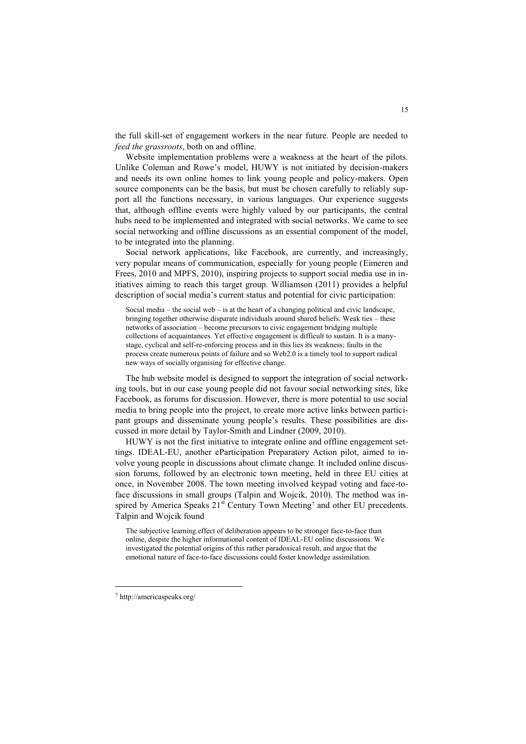the full skill-set of engagement workers in the near future. People are needed to *feed the grassroots*, both on and offline.

Website implementation problems were a weakness at the heart of the pilots. Unlike Coleman and Rowe's model, HUWY is not initiated by decision-makers and needs its own online homes to link young people and policy-makers. Open source components can be the basis, but must be chosen carefully to reliably support all the functions necessary, in various languages. Our experience suggests that, although offline events were highly valued by our participants, the central hubs need to be implemented and integrated with social networks. We came to see social networking and offline discussions as an essential component of the model, to be integrated into the planning.

Social network applications, like Facebook, are currently, and increasingly, very popular means of communication, especially for young people (Eimeren and Frees, 2010 and MPFS, 2010), inspiring projects to support social media use in initiatives aiming to reach this target group. Williamson (2011) provides a helpful description of social media's current status and potential for civic participation:

Social media – the social web – is at the heart of a changing political and civic landscape, bringing together otherwise disparate individuals around shared beliefs. Weak ties – these networks of association – become precursors to civic engagement bridging multiple collections of acquaintances. Yet effective engagement is difficult to sustain. It is a manystage, cyclical and self-re-enforcing process and in this lies its weakness; faults in the process create numerous points of failure and so Web2.0 is a timely tool to support radical new ways of socially organising for effective change.

The hub website model is designed to support the integration of social networking tools, but in our case young people did not favour social networking sites, like Facebook, as forums for discussion. However, there is more potential to use social media to bring people into the project, to create more active links between participant groups and disseminate young people's results. These possibilities are discussed in more detail by Taylor-Smith and Lindner (2009, 2010).

HUWY is not the first initiative to integrate online and offline engagement settings. IDEAL-EU, another eParticipation Preparatory Action pilot, aimed to involve young people in discussions about climate change. It included online discussion forums, followed by an electronic town meeting, held in three EU cities at once, in November 2008. The town meeting involved keypad voting and face-toface discussions in small groups (Talpin and Wojcik, 2010). The method was inspired by America Speaks  $21<sup>st</sup>$  Century Town Meeting<sup>7</sup> and other EU precedents. Talpin and Wojcik found

The subjective learning effect of deliberation appears to be stronger face-to-face than online, despite the higher informational content of IDEAL-EU online discussions. We investigated the potential origins of this rather paradoxical result, and argue that the emotional nature of face-to-face discussions could foster knowledge assimilation.

-

<sup>7</sup> http://americaspeaks.org/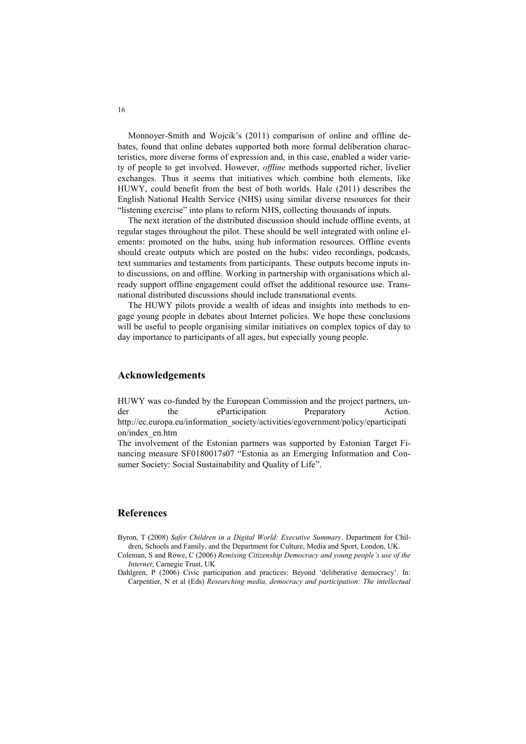Monnoyer-Smith and Wojcik's (2011) comparison of online and offline debates, found that online debates supported both more formal deliberation characteristics, more diverse forms of expression and, in this case, enabled a wider variety of people to get involved. However, *offline* methods supported richer, livelier exchanges. Thus it seems that initiatives which combine both elements, like HUWY, could benefit from the best of both worlds. Hale (2011) describes the English National Health Service (NHS) using similar diverse resources for their "listening exercise" into plans to reform NHS, collecting thousands of inputs.

The next iteration of the distributed discussion should include offline events, at regular stages throughout the pilot. These should be well integrated with online elements: promoted on the hubs, using hub information resources. Offline events should create outputs which are posted on the hubs: video recordings, podcasts, text summaries and testaments from participants. These outputs become inputs into discussions, on and offline. Working in partnership with organisations which already support offline engagement could offset the additional resource use. Transnational distributed discussions should include transnational events.

The HUWY pilots provide a wealth of ideas and insights into methods to engage young people in debates about Internet policies. We hope these conclusions will be useful to people organising similar initiatives on complex topics of day to day importance to participants of all ages, but especially young people.

# **Acknowledgements**

HUWY was co-funded by the European Commission and the project partners, under the eParticipation Preparatory Action. http://ec.europa.eu/information\_society/activities/egovernment/policy/eparticipati on/index\_en.htm

The involvement of the Estonian partners was supported by Estonian Target Financing measure SF0180017s07 "Estonia as an Emerging Information and Consumer Society: Social Sustainability and Quality of Life".

# **References**

- Byron, T (2008) *Safer Children in a Digital World: Executive Summary*. Department for Children, Schools and Family, and the Department for Culture, Media and Sport, London, UK.
- Coleman, S and Rowe, C (2006) *Remixing Citizenship Democracy and young people's use of the Internet*; Carnegie Trust, UK
- Dahlgren, P (2006) Civic participation and practices: Beyond 'deliberative democracy'. In: Carpentier, N et al (Eds) *Researching media, democracy and participation: The intellectual*